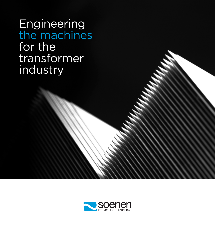**Engineering** the machines for the transformer industry

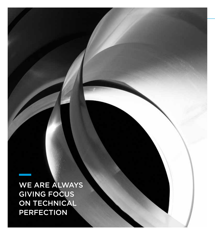We are always giving focus ON TECHNICAL **PERFECTION**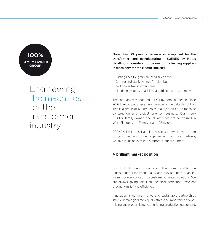## **100% family owned group**

# Engineering the machines for the transformer industry

More than 30 years experience in equipment for the transformer core manufacturing – SOENEN by Motus Handling is considered to be one of the leading suppliers in machinery for the electric industry.

- · Slitting lines for grain oriented silicon steel
- · Cutting and stacking lines for distribution and power transformer cores.
- · Handling systems to achieve an efficient core assembly

The company was founded in 1924 by Romain Soenen. Since 2016, the company became a member of the Valtech Holding. This is a group of 12 companies mainly focused on machine construction and project oriented business. Our group is 100% family owned and all activities are centralized in West Flanders, the Flemish part of Belgium.

SOENEN by Motus Handling has customers in more than 60 countries, worldwide. Together with our local partners, we give focus on excellent support to our customers.

#### A brilliant market position

SOENEN cut-to-length lines and slitting lines stand for the high standards involving quality, accuracy and performances. From modular concepts to customer-oriented solutions. We are always giving focus on technical perfection, excellent product quality and efficiency.

Innovation is our main drive and sustainable partnerships stays our main goal. We equally stress the importance of optimizing and modernizing your existing production equipment.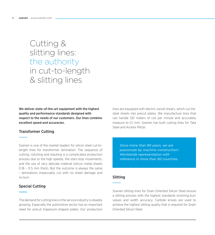## Cutting & slitting lines: the authority in cut-to-length & slitting lines

We deliver state-of-the-art equipment with the highest quality and performance standards designed with respect to the needs of our customers. Our lines combine excellent speed and accuracies.

#### Transformer Cutting

Soenen is one of the market leaders for silicon steel cut-tolength lines for transformer lamination. The sequence of cutting, notching and stacking is a complicated production process due to the high speeds, the start-stop movements, and the use of very delicate material (silicon metal sheets 0.18 – 0.5 mm thick). But the outcome is always the same - laminations impeccably cut with no sheet damage and no burr.

#### Special Cutting

The demand for cutting lines in the service industry is steadily growing. Especially the automotive sector has an important need for precut trapezium-shaped plates. Our production lines are equipped with electric swivel shears, which cut the steel sheets into precut plates. We manufacture lines that can handle 120 meters of coil per minute and accurately measure to 0.1 mm. Soenen has built cutting lines for Tata Steel and Arcelor Mittal.

*Since more than 90 years, we are passionate by machine construction! Worldwide representation with reference in more than 60 countries.*

#### Slitting

Soenen slitting lines for Grain Oriented Silicon Steel ensure a slitting process with the highest standards involving burr values and width accuracy. Carbide knives are used to achieve the highest slitting quality that is required for Grain Oriented Silicon Steel.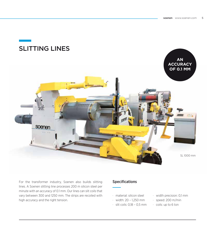

For the transformer industry, Soenen also builds slitting lines. A Soenen slitting line processes 200 m silicon steel per minute with an accuracy of 0.1 mm. Our lines can slit coils that vary between 300 and 1250 mm. The strips are recoiled with high accuracy and the right tension.

### Specifications

- · material: silicon steel
- · width: 20 1,250 mm
- · slit coils: 0,18 0,5 mm
- · width precision: 0,1 mm
- · speed: 200 m/min
- · coils: up to 6 ton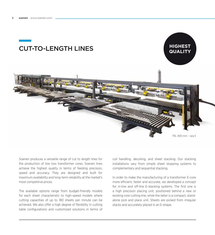





Soenen produces a versatile range of cut to length lines for the production of low loss transformer cores. Soenen lines achieve the highest quality in terms of feeding precision, speed and accuracy. They are designed and built for maximum availability and long-term reliability at the market's most competitive prices.

The available options range from budget-friendly models for each sheet characteristic to high-speed models where cutting capacities of up to 180 sheets per minute can be achieved. We also offer a high degree of flexibility in cutting table configurations and customized solutions in terms of coil handling, decoiling, and sheet stacking. Our stacking installations vary from simple sheet stopping systems to complementary and sequential stacking.

In order to make the manufacturing of a transformer E-core more efficient, faster and accurate, we developed a concept for in-line and off-line E-stacking systems. The first one is a high precision placing unit, positioned behind a new or existing core cutting line, while the latter is a compact, standalone pick and place unit. Sheets are picked from irregular stacks and accurately placed in an E-shape.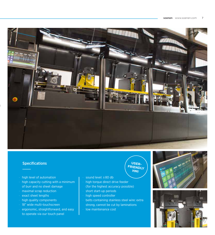

#### Specifications **USER- USER-**

- · high level of automation
- $\cdot$  high capacity cutting with a minimum of burr and no sheet damage
- · maximal scrap reduction
- · exact sheet lengths
- · high quality components
- · 18" wide multi-touchscreen
- · ergonomic, straightforward, and easy to operate via our touch panel
- · sound level: ± 80 db
- · high torque direct drive feeder (for the highest accuracy possible)
- · short start-up periods
- · high speed controller
- · belts containing stainless steel wire: extra strong, cannot be cut by laminations
- · low maintenance cost

**FRIENDLY HMI**